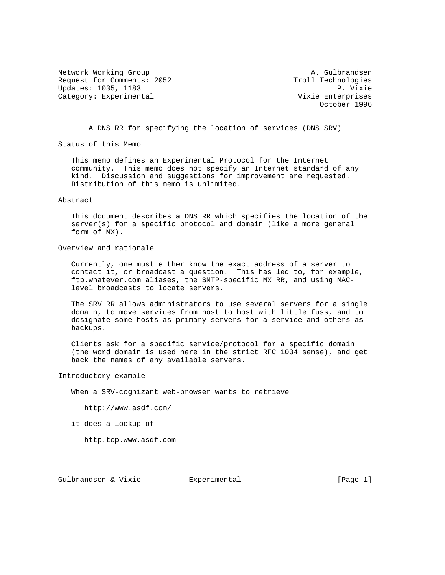Network Working Group A. Gulbrandsen Request for Comments: 2052<br>Updates: 1035, 1183 Troll Technologies Updates: 1035, 1183<br>Category: Experimental external and the Vixie Enterprises Category: Experimental

October 1996

A DNS RR for specifying the location of services (DNS SRV)

Status of this Memo

 This memo defines an Experimental Protocol for the Internet community. This memo does not specify an Internet standard of any kind. Discussion and suggestions for improvement are requested. Distribution of this memo is unlimited.

Abstract

 This document describes a DNS RR which specifies the location of the server(s) for a specific protocol and domain (like a more general form of MX).

Overview and rationale

 Currently, one must either know the exact address of a server to contact it, or broadcast a question. This has led to, for example, ftp.whatever.com aliases, the SMTP-specific MX RR, and using MAC level broadcasts to locate servers.

 The SRV RR allows administrators to use several servers for a single domain, to move services from host to host with little fuss, and to designate some hosts as primary servers for a service and others as backups.

 Clients ask for a specific service/protocol for a specific domain (the word domain is used here in the strict RFC 1034 sense), and get back the names of any available servers.

Introductory example

When a SRV-cognizant web-browser wants to retrieve

http://www.asdf.com/

it does a lookup of

http.tcp.www.asdf.com

Gulbrandsen & Vixie  $\qquad \qquad$  Experimental  $\qquad \qquad$  [Page 1]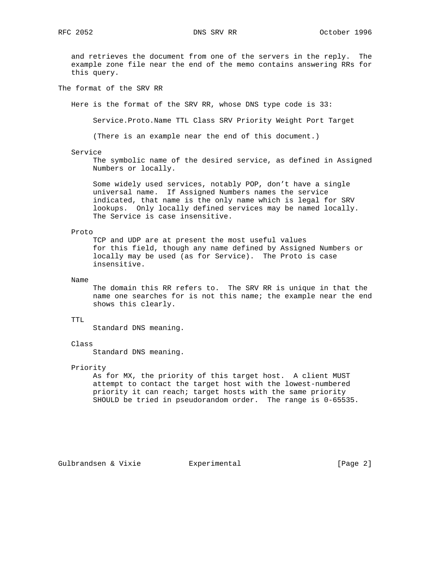and retrieves the document from one of the servers in the reply. The example zone file near the end of the memo contains answering RRs for this query.

The format of the SRV RR

Here is the format of the SRV RR, whose DNS type code is 33:

Service.Proto.Name TTL Class SRV Priority Weight Port Target

(There is an example near the end of this document.)

#### Service

 The symbolic name of the desired service, as defined in Assigned Numbers or locally.

 Some widely used services, notably POP, don't have a single universal name. If Assigned Numbers names the service indicated, that name is the only name which is legal for SRV lookups. Only locally defined services may be named locally. The Service is case insensitive.

# Proto

 TCP and UDP are at present the most useful values for this field, though any name defined by Assigned Numbers or locally may be used (as for Service). The Proto is case insensitive.

Name

 The domain this RR refers to. The SRV RR is unique in that the name one searches for is not this name; the example near the end shows this clearly.

# TTL

Standard DNS meaning.

# Class

Standard DNS meaning.

### Priority

 As for MX, the priority of this target host. A client MUST attempt to contact the target host with the lowest-numbered priority it can reach; target hosts with the same priority SHOULD be tried in pseudorandom order. The range is 0-65535.

Gulbrandsen & Vixie  $E$ xperimental (Page 2)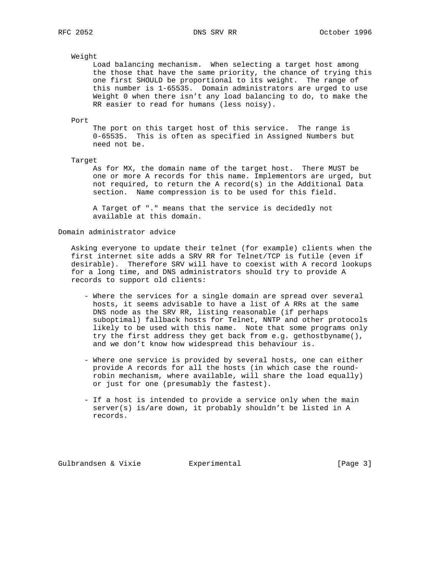# Weight

 Load balancing mechanism. When selecting a target host among the those that have the same priority, the chance of trying this one first SHOULD be proportional to its weight. The range of this number is 1-65535. Domain administrators are urged to use Weight 0 when there isn't any load balancing to do, to make the RR easier to read for humans (less noisy).

#### Port

 The port on this target host of this service. The range is 0-65535. This is often as specified in Assigned Numbers but need not be.

# Target

 As for MX, the domain name of the target host. There MUST be one or more A records for this name. Implementors are urged, but not required, to return the A record(s) in the Additional Data section. Name compression is to be used for this field.

 A Target of "." means that the service is decidedly not available at this domain.

# Domain administrator advice

 Asking everyone to update their telnet (for example) clients when the first internet site adds a SRV RR for Telnet/TCP is futile (even if desirable). Therefore SRV will have to coexist with A record lookups for a long time, and DNS administrators should try to provide A records to support old clients:

- Where the services for a single domain are spread over several hosts, it seems advisable to have a list of A RRs at the same DNS node as the SRV RR, listing reasonable (if perhaps suboptimal) fallback hosts for Telnet, NNTP and other protocols likely to be used with this name. Note that some programs only try the first address they get back from e.g. gethostbyname(), and we don't know how widespread this behaviour is.
- Where one service is provided by several hosts, one can either provide A records for all the hosts (in which case the round robin mechanism, where available, will share the load equally) or just for one (presumably the fastest).
- If a host is intended to provide a service only when the main server(s) is/are down, it probably shouldn't be listed in A records.

Gulbrandsen & Vixie  $\qquad \qquad$  Experimental  $\qquad \qquad$  [Page 3]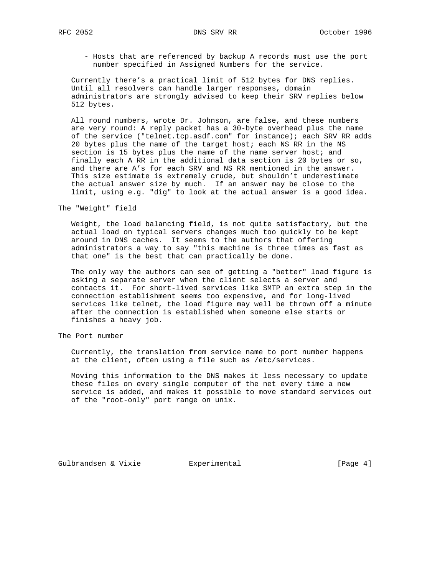- - Hosts that are referenced by backup A records must use the port number specified in Assigned Numbers for the service.

 Currently there's a practical limit of 512 bytes for DNS replies. Until all resolvers can handle larger responses, domain administrators are strongly advised to keep their SRV replies below 512 bytes.

 All round numbers, wrote Dr. Johnson, are false, and these numbers are very round: A reply packet has a 30-byte overhead plus the name of the service ("telnet.tcp.asdf.com" for instance); each SRV RR adds 20 bytes plus the name of the target host; each NS RR in the NS section is 15 bytes plus the name of the name server host; and finally each A RR in the additional data section is 20 bytes or so, and there are A's for each SRV and NS RR mentioned in the answer. This size estimate is extremely crude, but shouldn't underestimate the actual answer size by much. If an answer may be close to the limit, using e.g. "dig" to look at the actual answer is a good idea.

The "Weight" field

 Weight, the load balancing field, is not quite satisfactory, but the actual load on typical servers changes much too quickly to be kept around in DNS caches. It seems to the authors that offering administrators a way to say "this machine is three times as fast as that one" is the best that can practically be done.

 The only way the authors can see of getting a "better" load figure is asking a separate server when the client selects a server and contacts it. For short-lived services like SMTP an extra step in the connection establishment seems too expensive, and for long-lived services like telnet, the load figure may well be thrown off a minute after the connection is established when someone else starts or finishes a heavy job.

The Port number

 Currently, the translation from service name to port number happens at the client, often using a file such as /etc/services.

 Moving this information to the DNS makes it less necessary to update these files on every single computer of the net every time a new service is added, and makes it possible to move standard services out of the "root-only" port range on unix.

Gulbrandsen & Vixie  $\qquad \qquad$  Experimental  $\qquad \qquad$  [Page 4]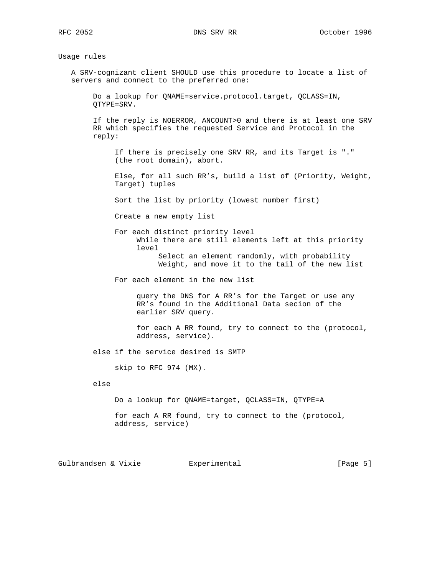Usage rules

 A SRV-cognizant client SHOULD use this procedure to locate a list of servers and connect to the preferred one:

 Do a lookup for QNAME=service.protocol.target, QCLASS=IN, QTYPE=SRV.

 If the reply is NOERROR, ANCOUNT>0 and there is at least one SRV RR which specifies the requested Service and Protocol in the reply:

 If there is precisely one SRV RR, and its Target is "." (the root domain), abort.

 Else, for all such RR's, build a list of (Priority, Weight, Target) tuples

Sort the list by priority (lowest number first)

Create a new empty list

 For each distinct priority level While there are still elements left at this priority level Select an element randomly, with probability Weight, and move it to the tail of the new list

For each element in the new list

 query the DNS for A RR's for the Target or use any RR's found in the Additional Data secion of the earlier SRV query.

 for each A RR found, try to connect to the (protocol, address, service).

else if the service desired is SMTP

skip to RFC 974 (MX).

else

Do a lookup for QNAME=target, QCLASS=IN, QTYPE=A

 for each A RR found, try to connect to the (protocol, address, service)

Gulbrandsen & Vixie  $\qquad \qquad$  Experimental  $\qquad \qquad$  [Page 5]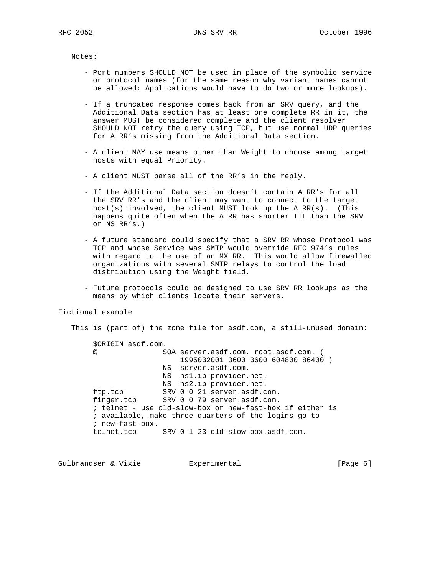Notes:

- Port numbers SHOULD NOT be used in place of the symbolic service or protocol names (for the same reason why variant names cannot be allowed: Applications would have to do two or more lookups).
- If a truncated response comes back from an SRV query, and the Additional Data section has at least one complete RR in it, the answer MUST be considered complete and the client resolver SHOULD NOT retry the query using TCP, but use normal UDP queries for A RR's missing from the Additional Data section.
- A client MAY use means other than Weight to choose among target hosts with equal Priority.
- A client MUST parse all of the RR's in the reply.
- If the Additional Data section doesn't contain A RR's for all the SRV RR's and the client may want to connect to the target host(s) involved, the client MUST look up the A  $RR(s)$ . (This happens quite often when the A RR has shorter TTL than the SRV or NS RR's.)
- A future standard could specify that a SRV RR whose Protocol was TCP and whose Service was SMTP would override RFC 974's rules with regard to the use of an MX RR. This would allow firewalled organizations with several SMTP relays to control the load distribution using the Weight field.
- Future protocols could be designed to use SRV RR lookups as the means by which clients locate their servers.

### Fictional example

 This is (part of) the zone file for asdf.com, a still-unused domain: \$ORIGIN asdf.com. @ SOA server.asdf.com. root.asdf.com. ( 1995032001 3600 3600 604800 86400 ) NS server.asdf.com. NS ns1.ip-provider.net. NS ns2.ip-provider.net. ftp.tcp SRV 0 0 21 server.asdf.com. finger.tcp SRV 0 0 79 server.asdf.com. ; telnet - use old-slow-box or new-fast-box if either is ; available, make three quarters of the logins go to ; new-fast-box. telnet.tcp SRV 0 1 23 old-slow-box.asdf.com.

Gulbrandsen & Vixie  $\qquad \qquad$  Experimental  $\qquad \qquad$  [Page 6]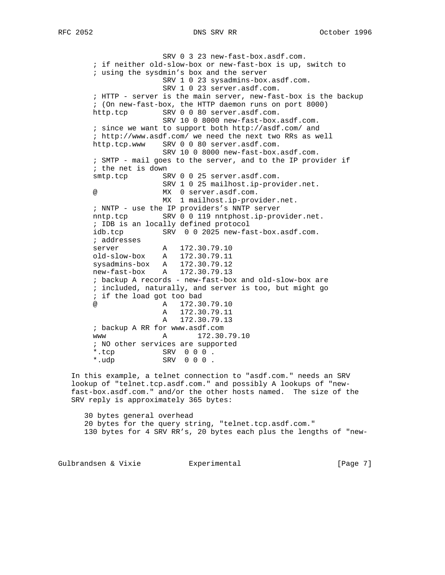SRV 0 3 23 new-fast-box.asdf.com. ; if neither old-slow-box or new-fast-box is up, switch to ; using the sysdmin's box and the server SRV 1 0 23 sysadmins-box.asdf.com. SRV 1 0 23 server.asdf.com. ; HTTP - server is the main server, new-fast-box is the backup ; (On new-fast-box, the HTTP daemon runs on port 8000) http.tcp SRV 0 0 80 server.asdf.com. SRV 10 0 8000 new-fast-box.asdf.com. ; since we want to support both http://asdf.com/ and ; http://www.asdf.com/ we need the next two RRs as well http.tcp.www SRV 0 0 80 server.asdf.com. SRV 10 0 8000 new-fast-box.asdf.com. ; SMTP - mail goes to the server, and to the IP provider if ; the net is down smtp.tcp SRV 0 0 25 server.asdf.com. SRV 1 0 25 mailhost.ip-provider.net. @ MX 0 server.asdf.com. MX 1 mailhost.ip-provider.net. ; NNTP - use the IP providers's NNTP server nntp.tcp SRV 0 0 119 nntphost.ip-provider.net. ; IDB is an locally defined protocol idb.tcp SRV 0 0 2025 new-fast-box.asdf.com. ; addresses server A 172.30.79.10 old-slow-box A 172.30.79.11 sysadmins-box A 172.30.79.12 new-fast-box A 172.30.79.13 ; backup A records - new-fast-box and old-slow-box are ; included, naturally, and server is too, but might go ; if the load got too bad @ A 172.30.79.10 A 172.30.79.11 A 172.30.79.13 ; backup A RR for www.asdf.com www A 172.30.79.10 ; NO other services are supported \*.tcp SRV 0 0 0 . \*.udp SRV 0 0 0 .

 In this example, a telnet connection to "asdf.com." needs an SRV lookup of "telnet.tcp.asdf.com." and possibly A lookups of "new fast-box.asdf.com." and/or the other hosts named. The size of the SRV reply is approximately 365 bytes:

 30 bytes general overhead 20 bytes for the query string, "telnet.tcp.asdf.com." 130 bytes for 4 SRV RR's, 20 bytes each plus the lengths of "new-

Gulbrandsen & Vixie  $\qquad \qquad$  Experimental  $\qquad \qquad$  [Page 7]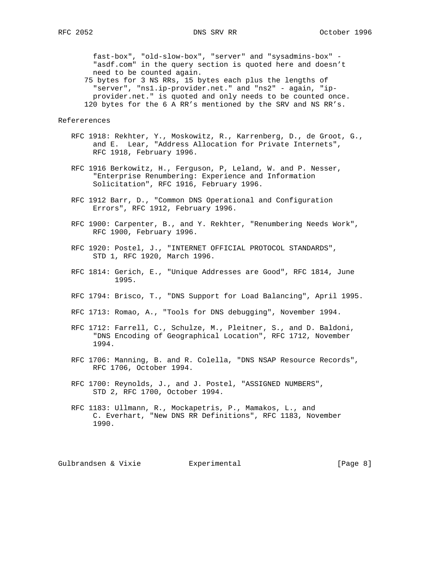fast-box", "old-slow-box", "server" and "sysadmins-box" - "asdf.com" in the query section is quoted here and doesn't need to be counted again.

 75 bytes for 3 NS RRs, 15 bytes each plus the lengths of "server", "ns1.ip-provider.net." and "ns2" - again, "ip provider.net." is quoted and only needs to be counted once. 120 bytes for the 6 A RR's mentioned by the SRV and NS RR's.

### Refererences

- RFC 1918: Rekhter, Y., Moskowitz, R., Karrenberg, D., de Groot, G., and E. Lear, "Address Allocation for Private Internets", RFC 1918, February 1996.
- RFC 1916 Berkowitz, H., Ferguson, P, Leland, W. and P. Nesser, "Enterprise Renumbering: Experience and Information Solicitation", RFC 1916, February 1996.
- RFC 1912 Barr, D., "Common DNS Operational and Configuration Errors", RFC 1912, February 1996.
- RFC 1900: Carpenter, B., and Y. Rekhter, "Renumbering Needs Work", RFC 1900, February 1996.
- RFC 1920: Postel, J., "INTERNET OFFICIAL PROTOCOL STANDARDS", STD 1, RFC 1920, March 1996.
- RFC 1814: Gerich, E., "Unique Addresses are Good", RFC 1814, June 1995.
- RFC 1794: Brisco, T., "DNS Support for Load Balancing", April 1995.
- RFC 1713: Romao, A., "Tools for DNS debugging", November 1994.
- RFC 1712: Farrell, C., Schulze, M., Pleitner, S., and D. Baldoni, "DNS Encoding of Geographical Location", RFC 1712, November 1994.
- RFC 1706: Manning, B. and R. Colella, "DNS NSAP Resource Records", RFC 1706, October 1994.
- RFC 1700: Reynolds, J., and J. Postel, "ASSIGNED NUMBERS", STD 2, RFC 1700, October 1994.
- RFC 1183: Ullmann, R., Mockapetris, P., Mamakos, L., and C. Everhart, "New DNS RR Definitions", RFC 1183, November 1990.

Gulbrandsen & Vixie  $\qquad \qquad$  Experimental  $\qquad \qquad$  [Page 8]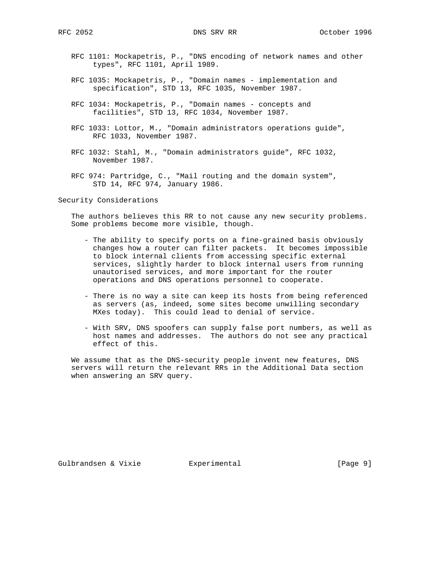- RFC 1101: Mockapetris, P., "DNS encoding of network names and other types", RFC 1101, April 1989.
- RFC 1035: Mockapetris, P., "Domain names implementation and specification", STD 13, RFC 1035, November 1987.
- RFC 1034: Mockapetris, P., "Domain names concepts and facilities", STD 13, RFC 1034, November 1987.
- RFC 1033: Lottor, M., "Domain administrators operations guide", RFC 1033, November 1987.
- RFC 1032: Stahl, M., "Domain administrators guide", RFC 1032, November 1987.
- RFC 974: Partridge, C., "Mail routing and the domain system", STD 14, RFC 974, January 1986.

Security Considerations

 The authors believes this RR to not cause any new security problems. Some problems become more visible, though.

- The ability to specify ports on a fine-grained basis obviously changes how a router can filter packets. It becomes impossible to block internal clients from accessing specific external services, slightly harder to block internal users from running unautorised services, and more important for the router operations and DNS operations personnel to cooperate.
- There is no way a site can keep its hosts from being referenced as servers (as, indeed, some sites become unwilling secondary MXes today). This could lead to denial of service.
- With SRV, DNS spoofers can supply false port numbers, as well as host names and addresses. The authors do not see any practical effect of this.

 We assume that as the DNS-security people invent new features, DNS servers will return the relevant RRs in the Additional Data section when answering an SRV query.

Gulbrandsen & Vixie  $\qquad \qquad$  Experimental  $\qquad \qquad$  [Page 9]